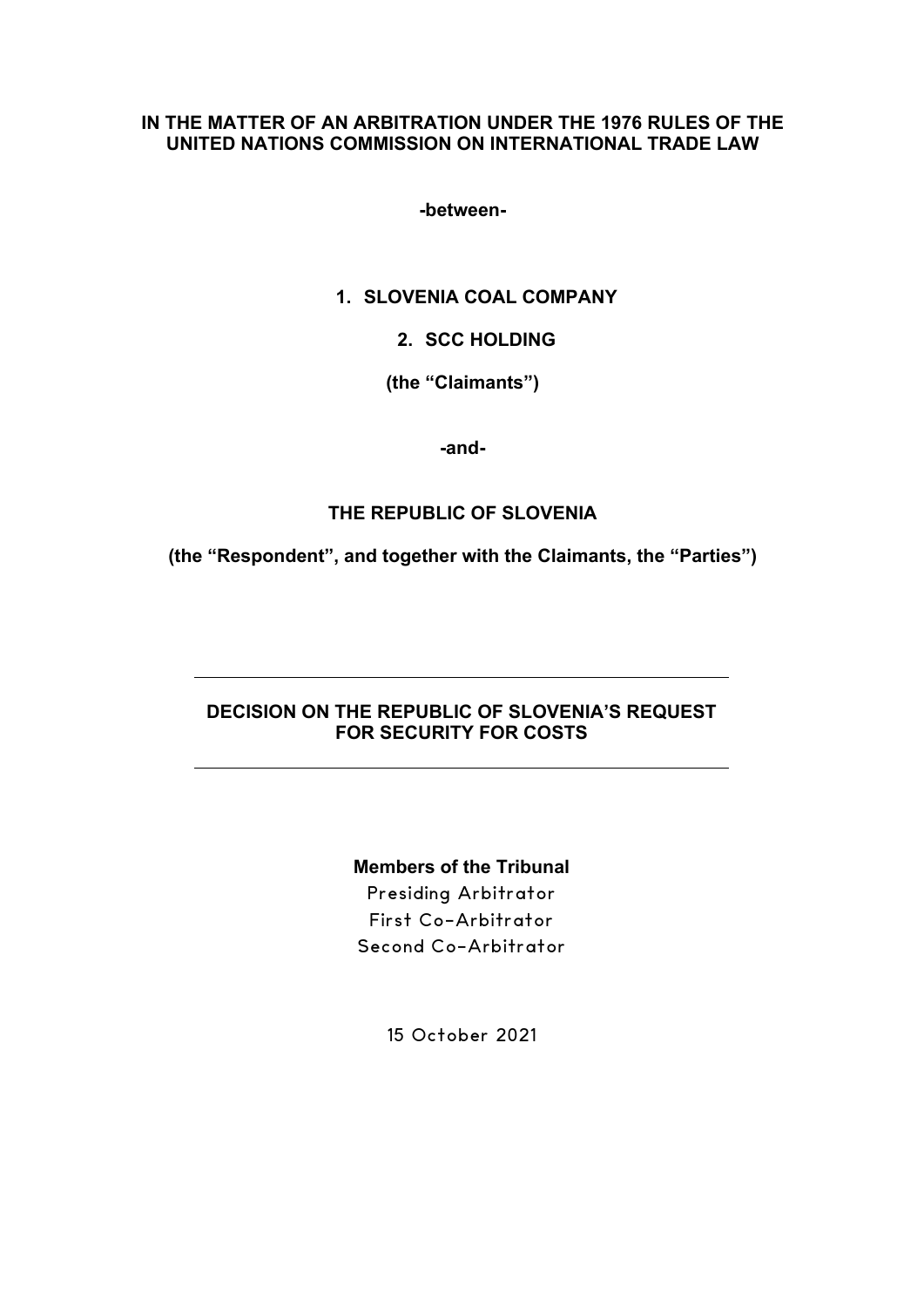## **IN THE MATTER OF AN ARBITRATION UNDER THE 1976 RULES OF THE UNITED NATIONS COMMISSION ON INTERNATIONAL TRADE LAW**

**-between-**

## **1. SLOVENIA COAL COMPANY**

**2. SCC HOLDING**

**(the "Claimants")**

**-and-**

# **THE REPUBLIC OF SLOVENIA**

**(the "Respondent", and together with the Claimants, the "Parties")**

## **DECISION ON THE REPUBLIC OF SLOVENIA'S REQUEST FOR SECURITY FOR COSTS**

# **Members of the Tribunal**

Presiding Arbitrator First Co-Arbitrator Second Co-Arbitrator

15 October 2021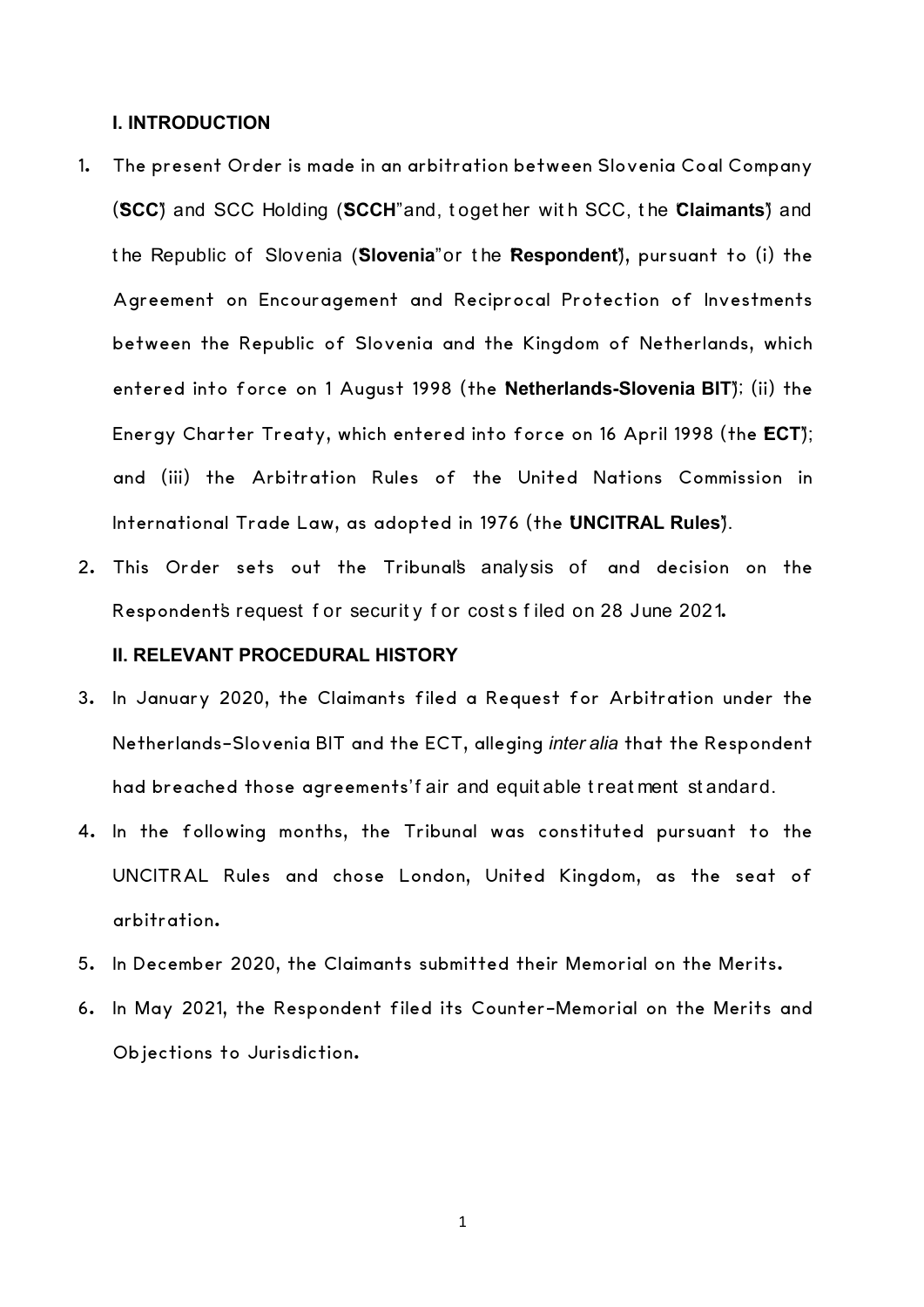#### **I. INTRODUCTION**

- 1. The present Order is made in an arbitration between Slovenia Coal Company **(SCC**) and SCC Holding (SCCH<sup>"</sup> and, t oget her with SCC, the Claimants<sup>\*</sup>) and t he Republic of Slovenia ("**Slovenia**" or t he "**Respondent**"), pursuant to (i) the Agreement on Encouragement and Reciprocal Protection of Investments between the Republic of Slovenia and the Kingdom of Netherlands, which entered into force on 1 August 1998 (the **Netherlands-Slovenia BIT**); (ii) the Energy Charter Treaty, which entered into force on 16 April 1998 (the ECT); and (iii) the Arbitration Rules of the United Nations Commission in International Trade Law, as adopted in 1976 (the UNCITRAL Rules<sup>y</sup>).
- 2. This Order sets out the Tribunal's analysis of and decision on the Respondent's request for security for costs filed on 28 June 2021.

### **II. RELEVANT PROCEDURAL HISTORY**

- 3. In January 2020, the Claimants filed a Request for Arbitration under the Netherlands-Slovenia BIT and the ECT, alleging *inter alia* that the Respondent had breached those agreements' fair and equitable treatment standard.
- 4. In the following months, the Tribunal was constituted pursuant to the UNCITRAL Rules and chose London, United Kingdom, as the seat of arbitration.
- 5. In December 2020, the Claimants submitted their Memorial on the Merits.
- 6. In May 2021, the Respondent filed its Counter-Memorial on the Merits and Objections to Jurisdiction.

1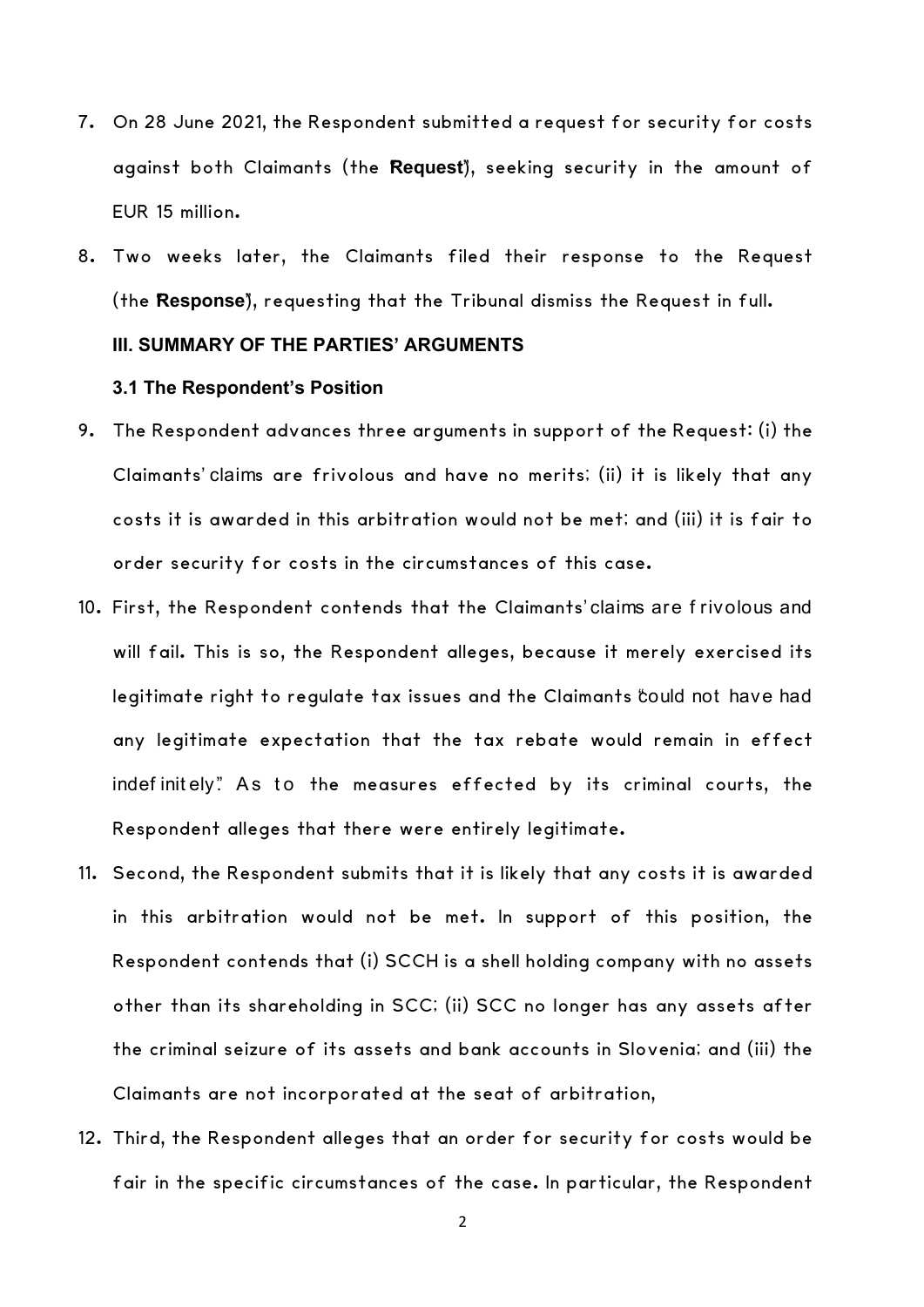- 7. On 28 June 2021, the Respondent submitted a request for security for costs against both Claimants (the "**Request**"), seeking security in the amount of EUR 15 million.
- 8. Two weeks later, the Claimants filed their response to the Request (the Response<sup>"</sup>), requesting that the Tribunal dismiss the Request in full.

## **III. SUMMARY OF THE PARTIES' ARGUMENTS**

### **3.1 The Respondent's Position**

- 9. The Respondent advances three arguments in support of the Request: (i) the Claimants' claims are frivolous and have no merits; (ii) it is likely that any costs it is awarded in this arbitration would not be met; and (iii) it is fair to order security for costs in the circumstances of this case.
- 10. First, the Respondent contends that the Claimants' claims are f rivolous and will fail. This is so, the Respondent alleges, because it merely exercised its legitimate right to regulate tax issues and the Claimants could not have had any legitimate expectation that the tax rebate would remain in effect indefinitely". As to the measures effected by its criminal courts, the Respondent alleges that there were entirely legitimate.
- 11. Second, the Respondent submits that it is likely that any costs it is awarded in this arbitration would not be met. In support of this position, the Respondent contends that (i) SCCH is a shell holding company with no assets other than its shareholding in SCC; (ii) SCC no longer has any assets after the criminal seizure of its assets and bank accounts in Slovenia; and (iii) the Claimants are not incorporated at the seat of arbitration,
- 12. Third, the Respondent alleges that an order for security for costs would be fair in the specific circumstances of the case. In particular, the Respondent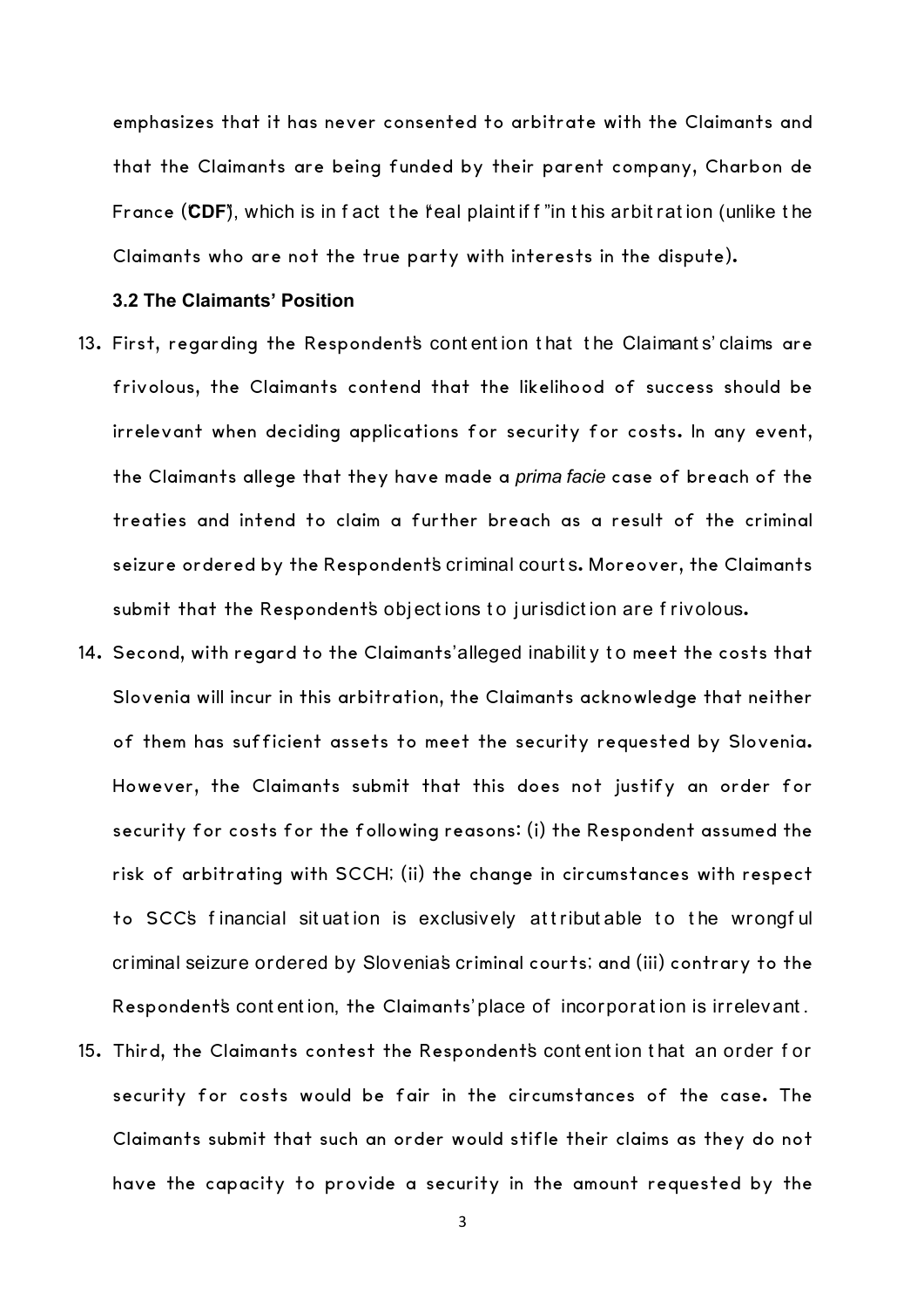emphasizes that it has never consented to arbitrate with the Claimants and that the Claimants are being funded by their parent company, Charbon de France (CDF), which is in f act the feal plaint if f "in this arbit ration (unlike the Claimants who are not the true party with interests in the dispute).

## **3.2 The Claimants' Position**

- 13. First, regarding the Respondent's contention that the Claimants' claims are frivolous, the Claimants contend that the likelihood of success should be irrelevant when deciding applications for security for costs. In any event, the Claimants allege that they have made a *prima facie* case of breach of the treaties and intend to claim a further breach as a result of the criminal seizure ordered by the Respondent's criminal courts. Moreover, the Claimants submit that the Respondent's objections to jurisdiction are frivolous.
- 14. Second, with regard to the Claimants' alleged inabilit y t o meet the costs that Slovenia will incur in this arbitration, the Claimants acknowledge that neither of them has sufficient assets to meet the security requested by Slovenia. However, the Claimants submit that this does not justify an order for security for costs for the following reasons: (i) the Respondent assumed the risk of arbitrating with SCCH; (ii) the change in circumstances with respect to SCC's financial situation is exclusively attributable to the wrongful criminal seizure ordered by Slovenia's criminal courts; and (iii) contrary to the Respondent's contention, the Claimants' place of incorporation is irrelevant.
- 15. Third, the Claimants contest the Respondent's cont ent ion t hat an order f or security for costs would be fair in the circumstances of the case. The Claimants submit that such an order would stifle their claims as they do not have the capacity to provide a security in the amount requested by the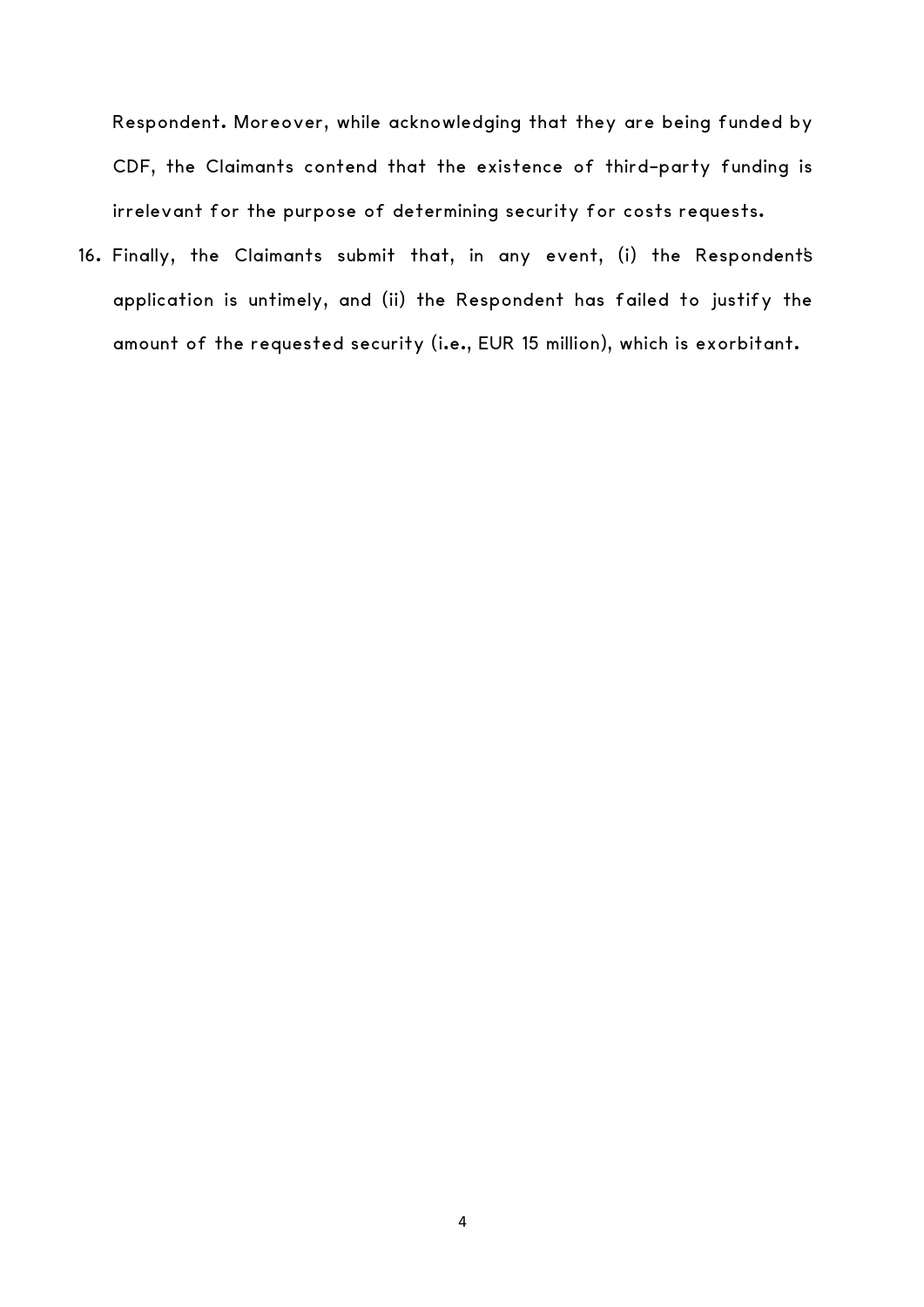Respondent. Moreover, while acknowledging that they are being funded by CDF, the Claimants contend that the existence of third-party funding is irrelevant for the purpose of determining security for costs requests.

16. Finally, the Claimants submit that, in any event, (i) the Respondent's application is untimely, and (ii) the Respondent has failed to justify the amount of the requested security (i.e., EUR 15 million), which is exorbitant.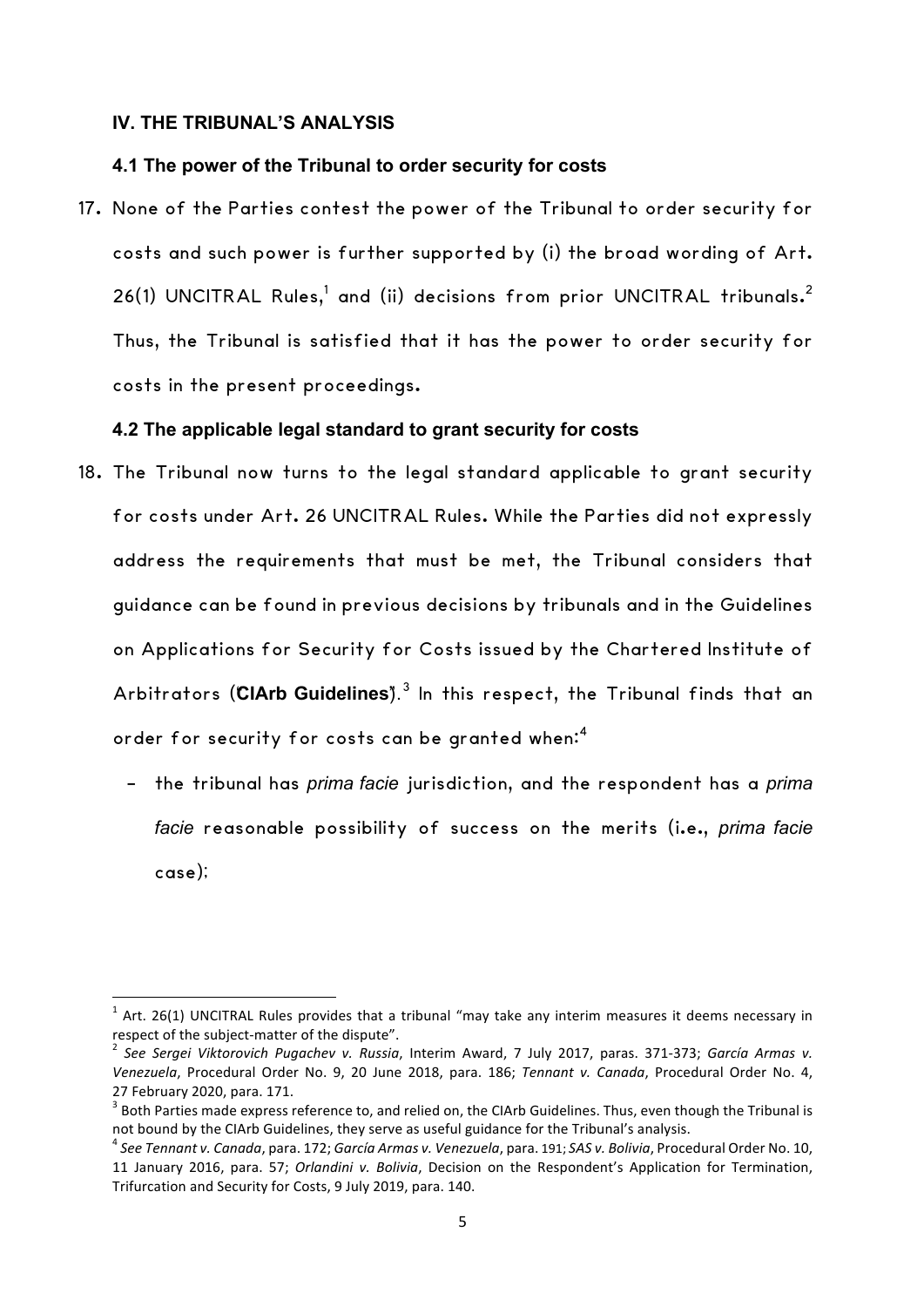### **IV. THE TRIBUNAL'S ANALYSIS**

<u> 1989 - Johann Stein, mars an de Brandenburg (b. 1989)</u>

### **4.1 The power of the Tribunal to order security for costs**

17. None of the Parties contest the power of the Tribunal to order security for costs and such power is further supported by (i) the broad wording of Art. 26(1) UNCITRAL Rules, $^1$  and (ii) decisions from prior UNCITRAL tribunals.<sup>2</sup> Thus, the Tribunal is satisfied that it has the power to order security for costs in the present proceedings.

### **4.2 The applicable legal standard to grant security for costs**

- 18. The Tribunal now turns to the legal standard applicable to grant security for costs under Art. 26 UNCITRAL Rules. While the Parties did not expressly address the requirements that must be met, the Tribunal considers that guidance can be found in previous decisions by tribunals and in the Guidelines on Applications for Security for Costs issued by the Chartered Institute of Arbitrators (CIArb Guidelines<sup>"</sup>).<sup>3</sup> In this respect, the Tribunal finds that an order for security for costs can be granted when:<sup>4</sup>
	- the tribunal has *prima facie* jurisdiction, and the respondent has a *prima facie* reasonable possibility of success on the merits (i.e., *prima facie* case);

 $1$  Art. 26(1) UNCITRAL Rules provides that a tribunal "may take any interim measures it deems necessary in respect of the subject-matter of the dispute".<br><sup>2</sup> See Sergei Viktorovich Pugachev v. Russia, Interim Award, 7 July 2017, paras. 371-373; *García Armas v.* 

Venezuela, Procedural Order No. 9, 20 June 2018, para. 186; *Tennant v. Canada*, Procedural Order No. 4, 27 February 2020, para. 171.<br><sup>3</sup> Both Parties made express reference to, and relied on, the CIArb Guidelines. Thus, even though the Tribunal is

not bound by the CIArb Guidelines, they serve as useful guidance for the Tribunal's analysis.<br><sup>4</sup> See Tennant v. Canada, para. 172; García Armas v. Venezuela, para. 191; SAS v. Bolivia, Procedural Order No. 10,

<sup>11</sup> January 2016, para. 57; *Orlandini v. Bolivia*, Decision on the Respondent's Application for Termination, Trifurcation and Security for Costs, 9 July 2019, para, 140.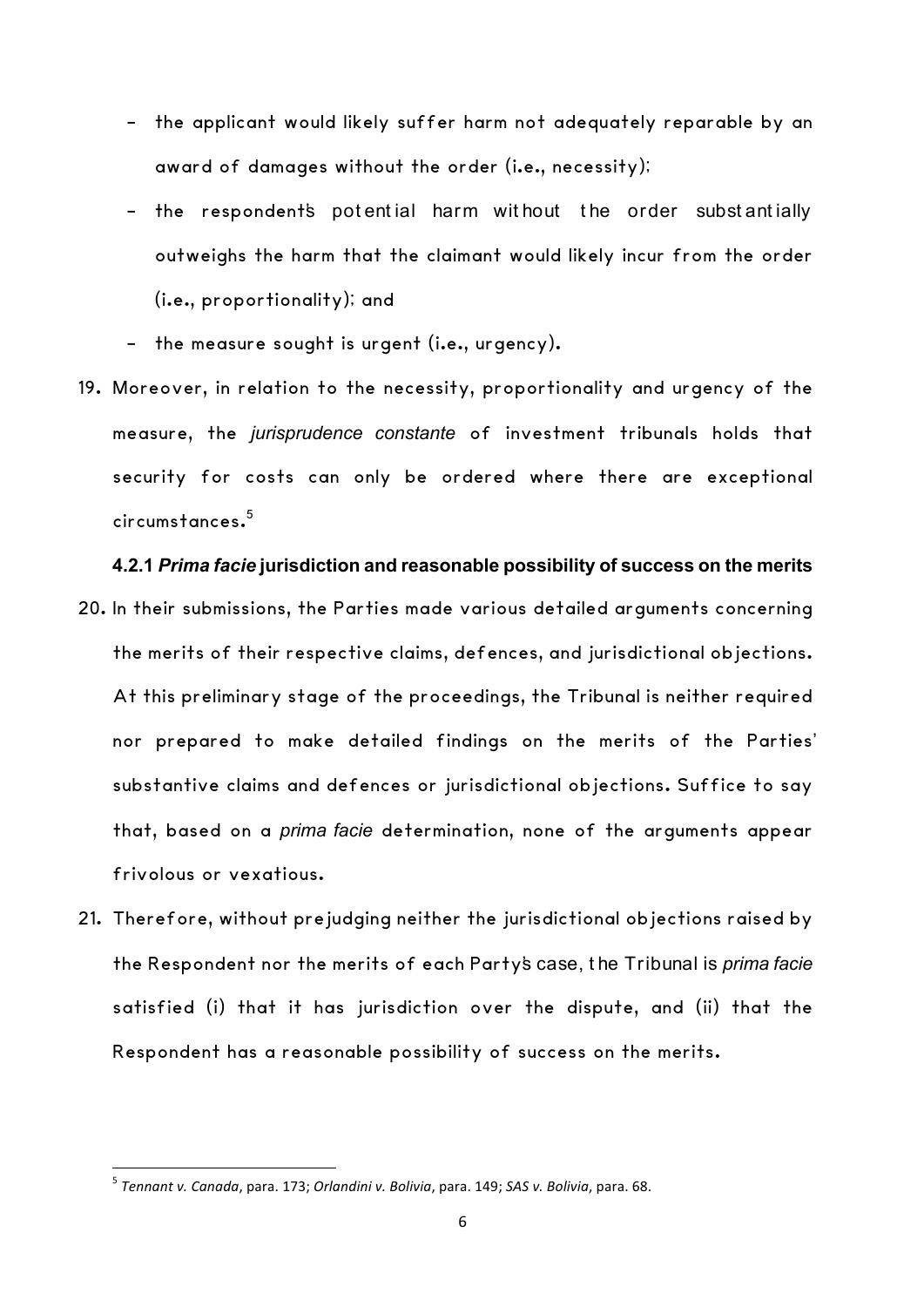- the applicant would likely suffer harm not adequately reparable by an award of damages without the order (i.e., necessity);
- the respondent's potential harm without the order substantially outweighs the harm that the claimant would likely incur from the order (i.e., proportionality); and
- the measure sought is urgent (i.e., urgency).
- 19. Moreover, in relation to the necessity, proportionality and urgency of the measure, the *jurisprudence constante* of investment tribunals holds that security for costs can only be ordered where there are exceptional circumstances. 5

#### **4.2.1** *Prima facie* **jurisdiction and reasonable possibility of success on the merits**

- 20. In their submissions, the Parties made various detailed arguments concerning the merits of their respective claims, defences, and jurisdictional objections. At this preliminary stage of the proceedings, the Tribunal is neither required nor prepared to make detailed findings on the merits of the Parties' substantive claims and defences or jurisdictional objections. Suffice to say that, based on a *prima facie* determination, none of the arguments appear frivolous or vexatious.
- 21. Therefore, without prejudging neither the jurisdictional objections raised by the Respondent nor the merits of each Party's case, t he Tribunal is *prima facie* satisfied (i) that it has jurisdiction over the dispute, and (ii) that the Respondent has a reasonable possibility of success on the merits.

<sup>5</sup> *Tennant v. Canada*, para. 173; *Orlandini v. Bolivia*, para. 149; *SAS v. Bolivia*, para. 68.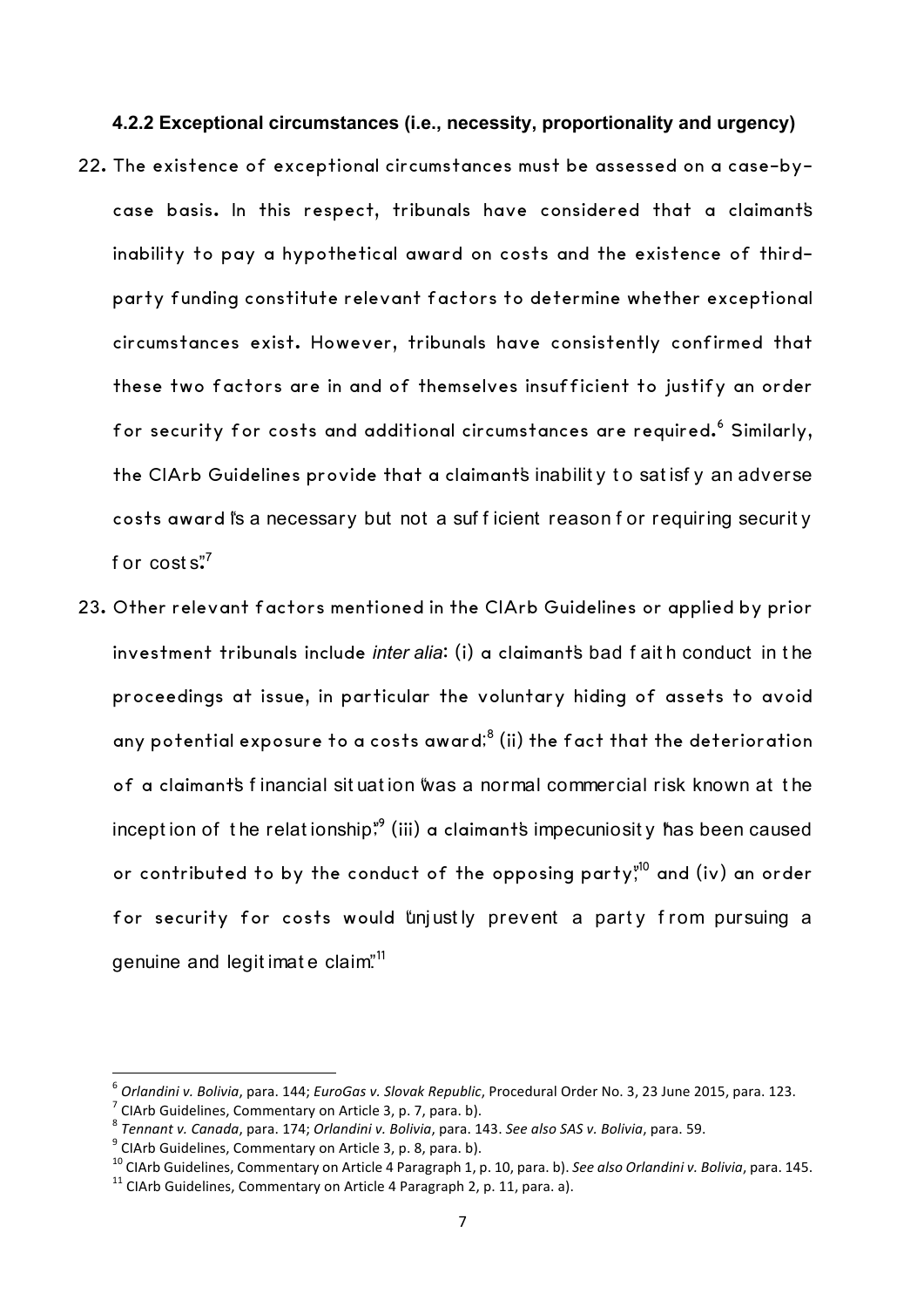#### **4.2.2 Exceptional circumstances (i.e., necessity, proportionality and urgency)**

- 22. The existence of exceptional circumstances must be assessed on a case-bycase basis. In this respect, tribunals have considered that a claimant's inability to pay a hypothetical award on costs and the existence of thirdparty funding constitute relevant factors to determine whether exceptional circumstances exist. However, tribunals have consistently confirmed that these two factors are in and of themselves insufficient to justify an order for security for costs and additional circumstances are required. <sup>6</sup> Similarly, the CIArb Guidelines provide that a claimant's inability to satisfy an adverse costs award is a necessary but not a sufficient reason for requiring security f or  $costs."$
- 23. Other relevant factors mentioned in the CIArb Guidelines or applied by prior investment tribunals include *inter alia*: (i) a claimant's bad f ait h conduct in t he proceedings at issue, in particular the voluntary hiding of assets to avoid any potential exposure to a costs award; $^8$  (ii) the fact that the deterioration of a claimant's f inancial sit uat ion "was a normal commercial risk known at t he incept ion of <code>the</code> relat ionship;" (iii) a claimant's impecuniosity has been caused or contributed to by the conduct of the opposing party, $^{\mathsf{v10}}$  and (iv) an order for security for costs would "unjustly prevent a party from pursuing a genuine and legit imate claim".<sup>11</sup>

<sup>&</sup>lt;sup>6</sup> Orlandini v. Bolivia, para. 144; EuroGas v. Slovak Republic, Procedural Order No. 3, 23 June 2015, para. 123.<br><sup>7</sup> ClArb Guidelines, Commentary on Article 3, p. 7, para. b).<br><sup>8</sup> Tennant v. Canada, para. 174; Orlandini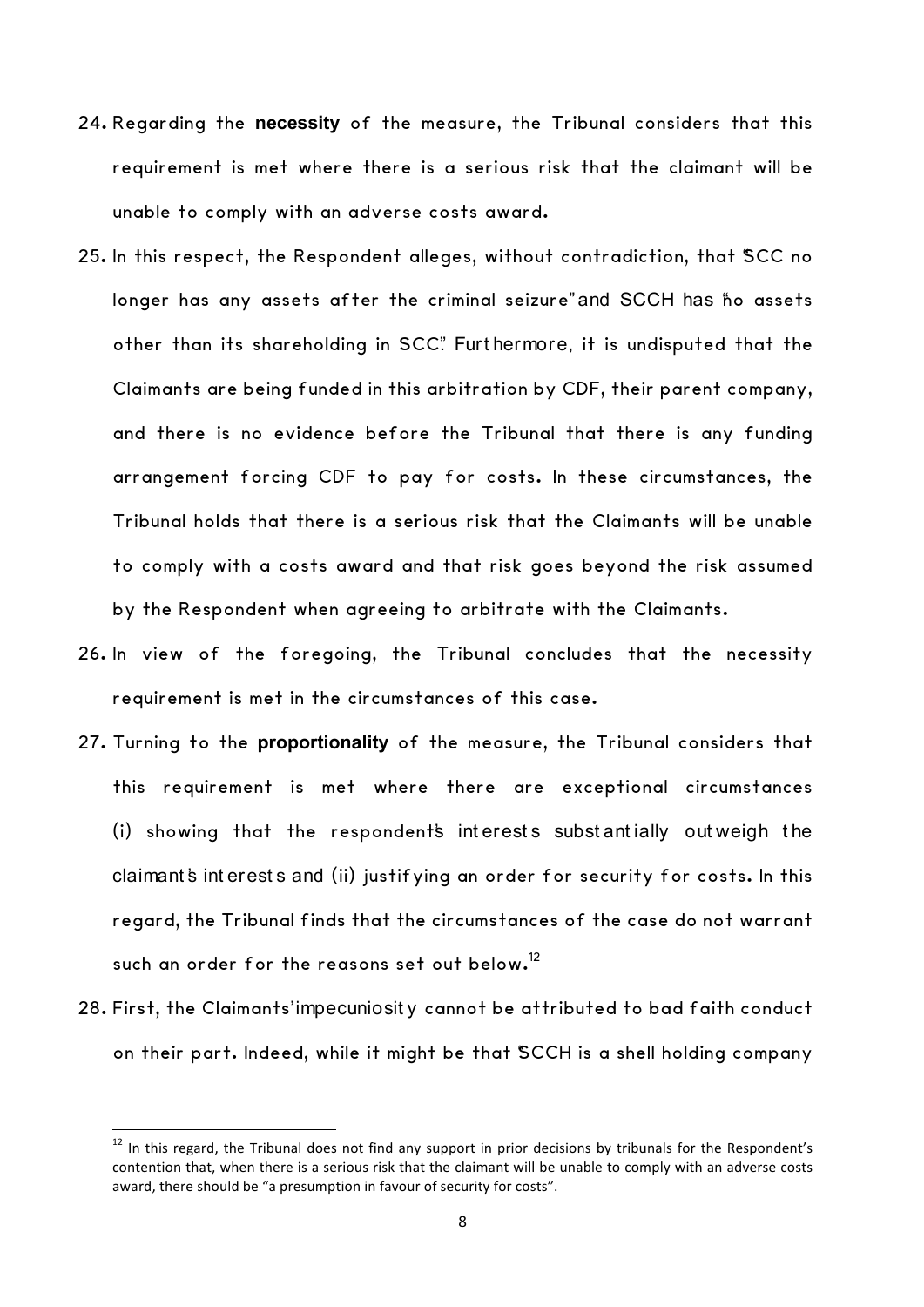- 24. Regarding the **necessity** of the measure, the Tribunal considers that this requirement is met where there is a serious risk that the claimant will be unable to comply with an adverse costs award.
- 25. In this respect, the Respondent alleges, without contradiction, that "SCC no longer has any assets after the criminal seizure" and SCCH has ho assets other than its shareholding in SCC". Furt hermore, it is undisputed that the Claimants are being funded in this arbitration by CDF, their parent company, and there is no evidence before the Tribunal that there is any funding arrangement forcing CDF to pay for costs. In these circumstances, the Tribunal holds that there is a serious risk that the Claimants will be unable to comply with a costs award and that risk goes beyond the risk assumed by the Respondent when agreeing to arbitrate with the Claimants.
- 26. In view of the foregoing, the Tribunal concludes that the necessity requirement is met in the circumstances of this case.
- 27. Turning to the **proportionality** of the measure, the Tribunal considers that this requirement is met where there are exceptional circumstances (i) showing that the respondents interests substantially outweigh the claimant's interests and (ii) justifying an order for security for costs. In this regard, the Tribunal finds that the circumstances of the case do not warrant such an order for the reasons set out below.<sup>12</sup>
- 28. First, the Claimants' impecuniosit y cannot be attributed to bad faith conduct on their part. Indeed, while it might be that "SCCH is a shell holding company

 $12$  In this regard, the Tribunal does not find any support in prior decisions by tribunals for the Respondent's contention that, when there is a serious risk that the claimant will be unable to comply with an adverse costs award, there should be "a presumption in favour of security for costs".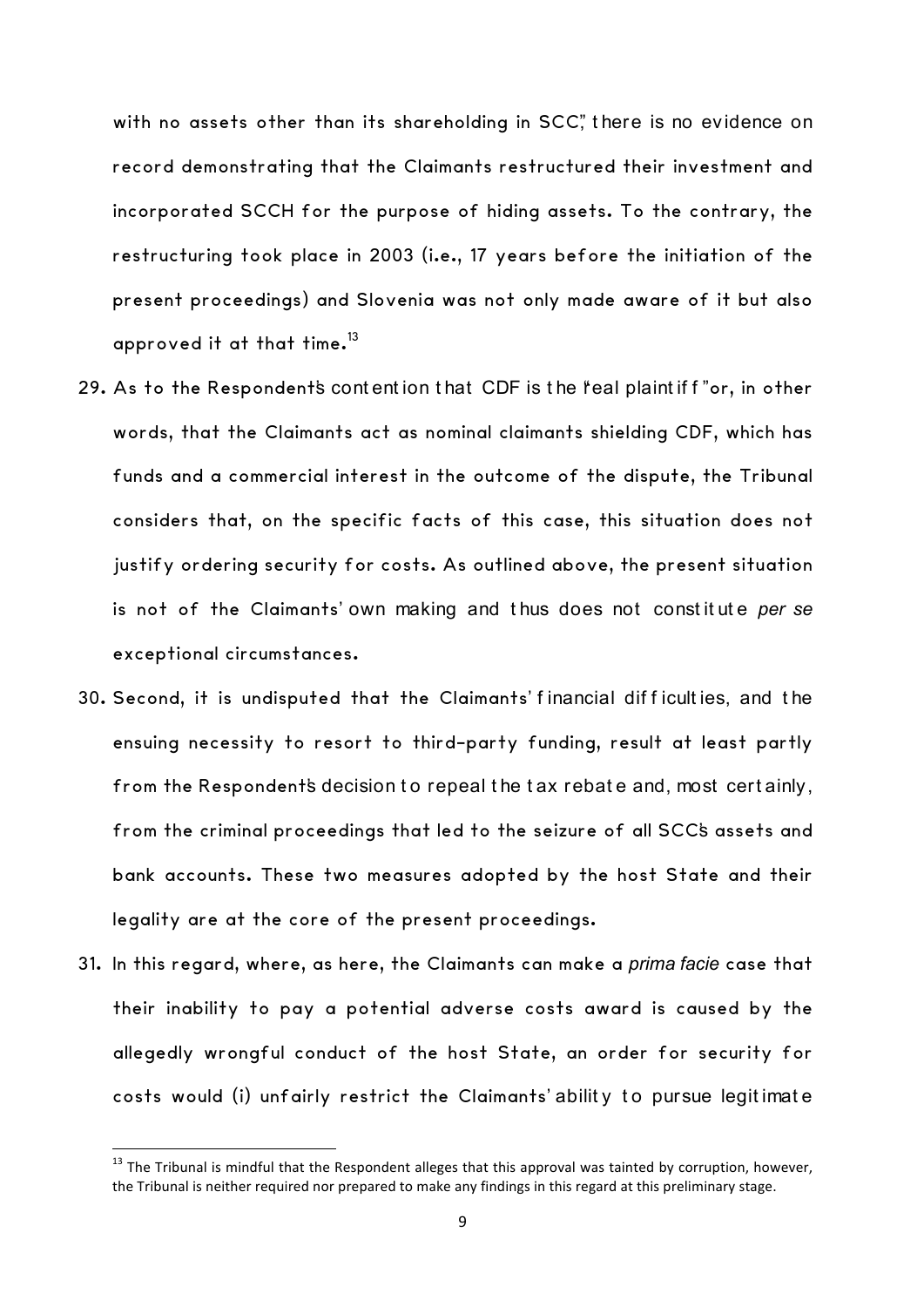with no assets other than its shareholding in SCC", there is no evidence on record demonstrating that the Claimants restructured their investment and incorporated SCCH for the purpose of hiding assets. To the contrary, the restructuring took place in 2003 (i.e., 17 years before the initiation of the present proceedings) and Slovenia was not only made aware of it but also approved it at that time. $^{13}$ 

- 29. As to the Respondent's contention that CDF is the 'real plaint if f' or, in other words, that the Claimants act as nominal claimants shielding CDF, which has funds and a commercial interest in the outcome of the dispute, the Tribunal considers that, on the specific facts of this case, this situation does not justify ordering security for costs. As outlined above, the present situation is not of the Claimants' own making and t hus does not const it ut e *per se* exceptional circumstances.
- 30. Second, it is undisputed that the Claimants' f inancial dif f icult ies, and t he ensuing necessity to resort to third-party funding, result at least partly from the Respondent's decision to repeal the tax rebate and, most certainly, from the criminal proceedings that led to the seizure of all SCC's assets and bank accounts. These two measures adopted by the host State and their legality are at the core of the present proceedings.
- 31. In this regard, where, as here, the Claimants can make a *prima facie* case that their inability to pay a potential adverse costs award is caused by the allegedly wrongful conduct of the host State, an order for security for costs would (i) unfairly restrict the Claimants' ability to pursue legitimate

 $13$  The Tribunal is mindful that the Respondent alleges that this approval was tainted by corruption, however, the Tribunal is neither required nor prepared to make any findings in this regard at this preliminary stage.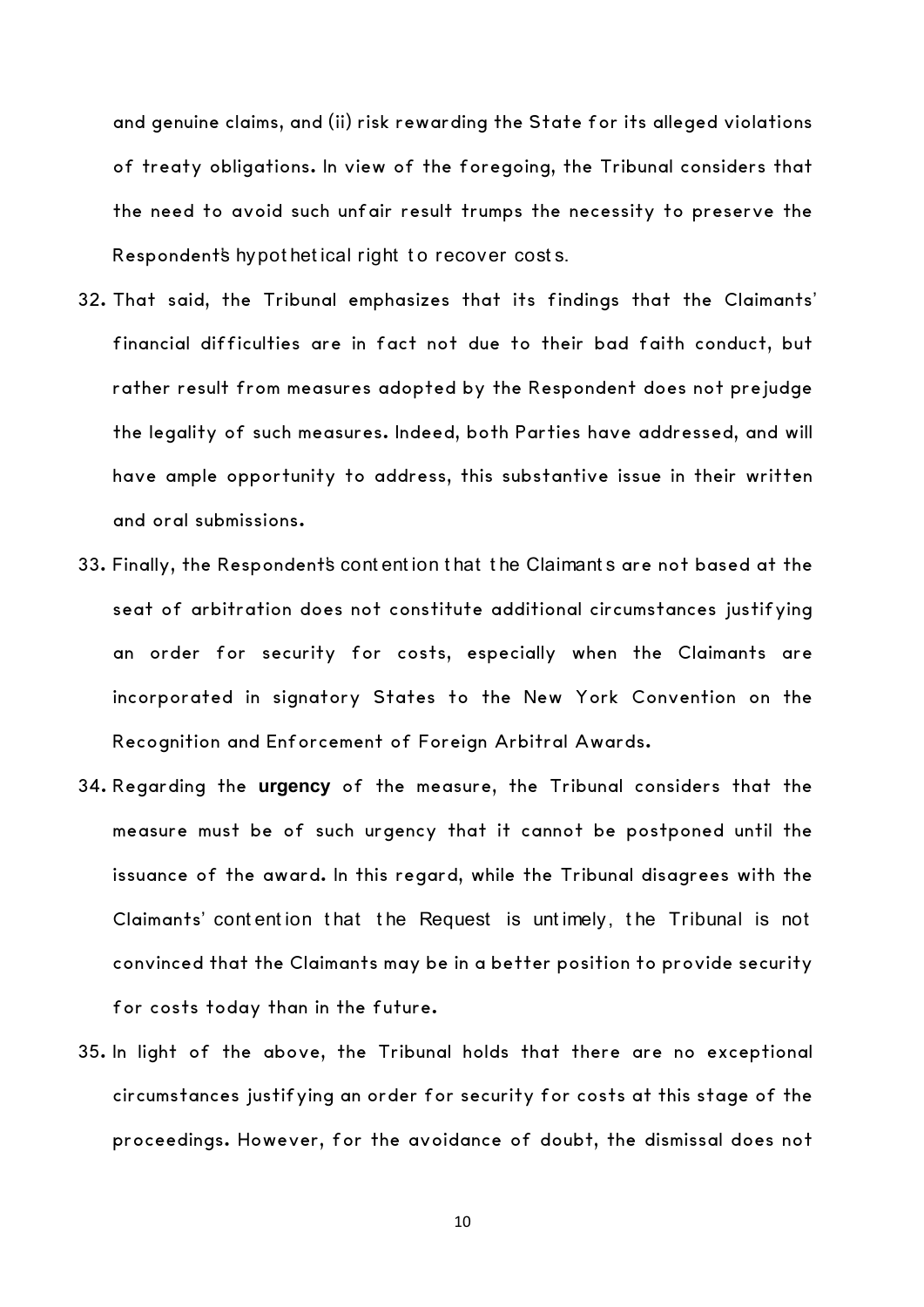and genuine claims, and (ii) risk rewarding the State for its alleged violations of treaty obligations. In view of the foregoing, the Tribunal considers that the need to avoid such unfair result trumps the necessity to preserve the Respondent's hypot het ical right to recover costs.

- 32. That said, the Tribunal emphasizes that its findings that the Claimants' financial difficulties are in fact not due to their bad faith conduct, but rather result from measures adopted by the Respondent does not prejudge the legality of such measures. Indeed, both Parties have addressed, and will have ample opportunity to address, this substantive issue in their written and oral submissions.
- 33. Finally, the Respondent's cont ent ion t hat t he Claimant s are not based at the seat of arbitration does not constitute additional circumstances justifying an order for security for costs, especially when the Claimants are incorporated in signatory States to the New York Convention on the Recognition and Enforcement of Foreign Arbitral Awards.
- 34. Regarding the **urgency** of the measure, the Tribunal considers that the measure must be of such urgency that it cannot be postponed until the issuance of the award. In this regard, while the Tribunal disagrees with the Claimants' cont ent ion t hat t he Request is unt imely, t he Tribunal is not convinced that the Claimants may be in a better position to provide security for costs today than in the future.
- 35. In light of the above, the Tribunal holds that there are no exceptional circumstances justifying an order for security for costs at this stage of the proceedings. However, for the avoidance of doubt, the dismissal does not

10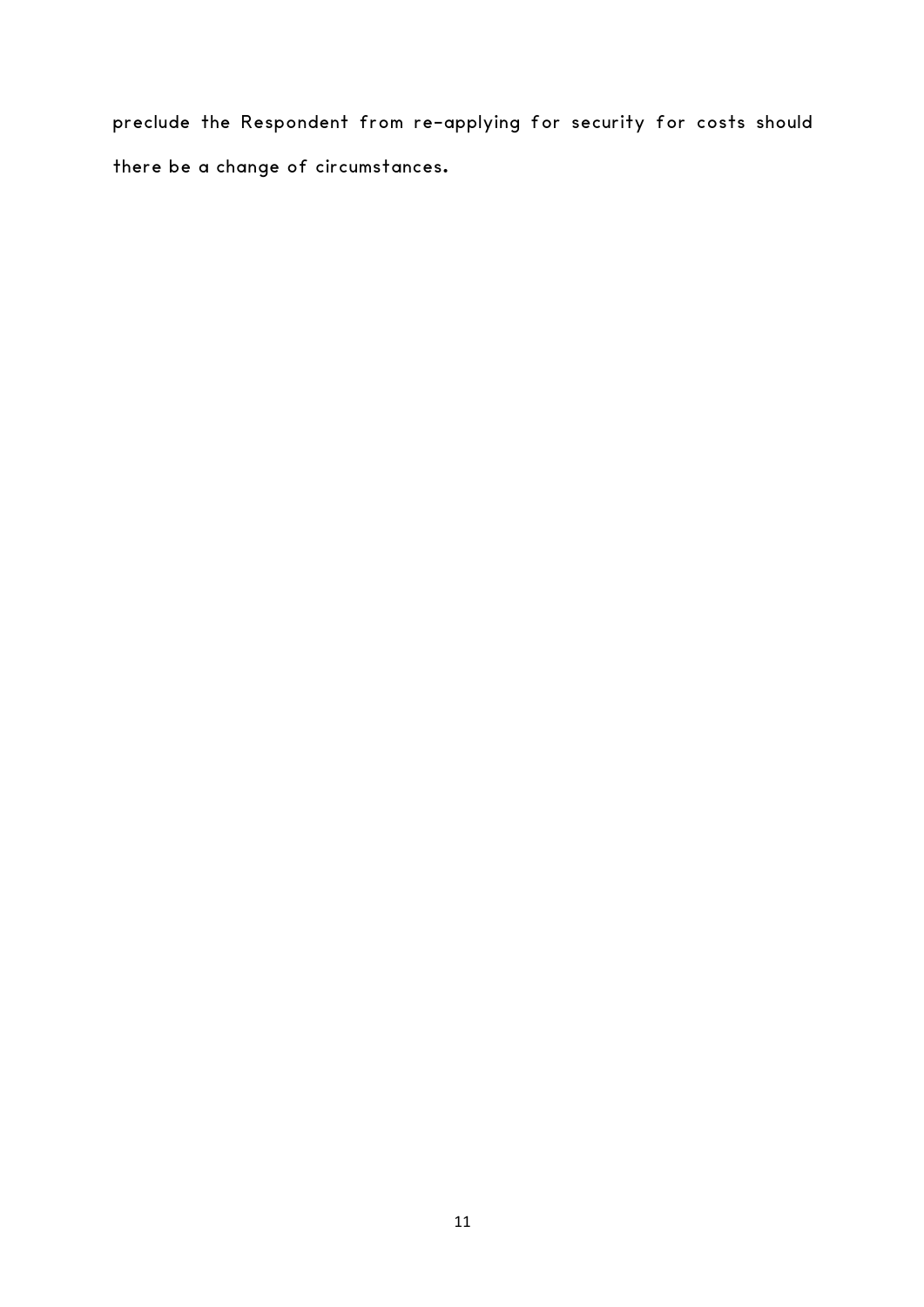preclude the Respondent from re-applying for security for costs should there be a change of circumstances.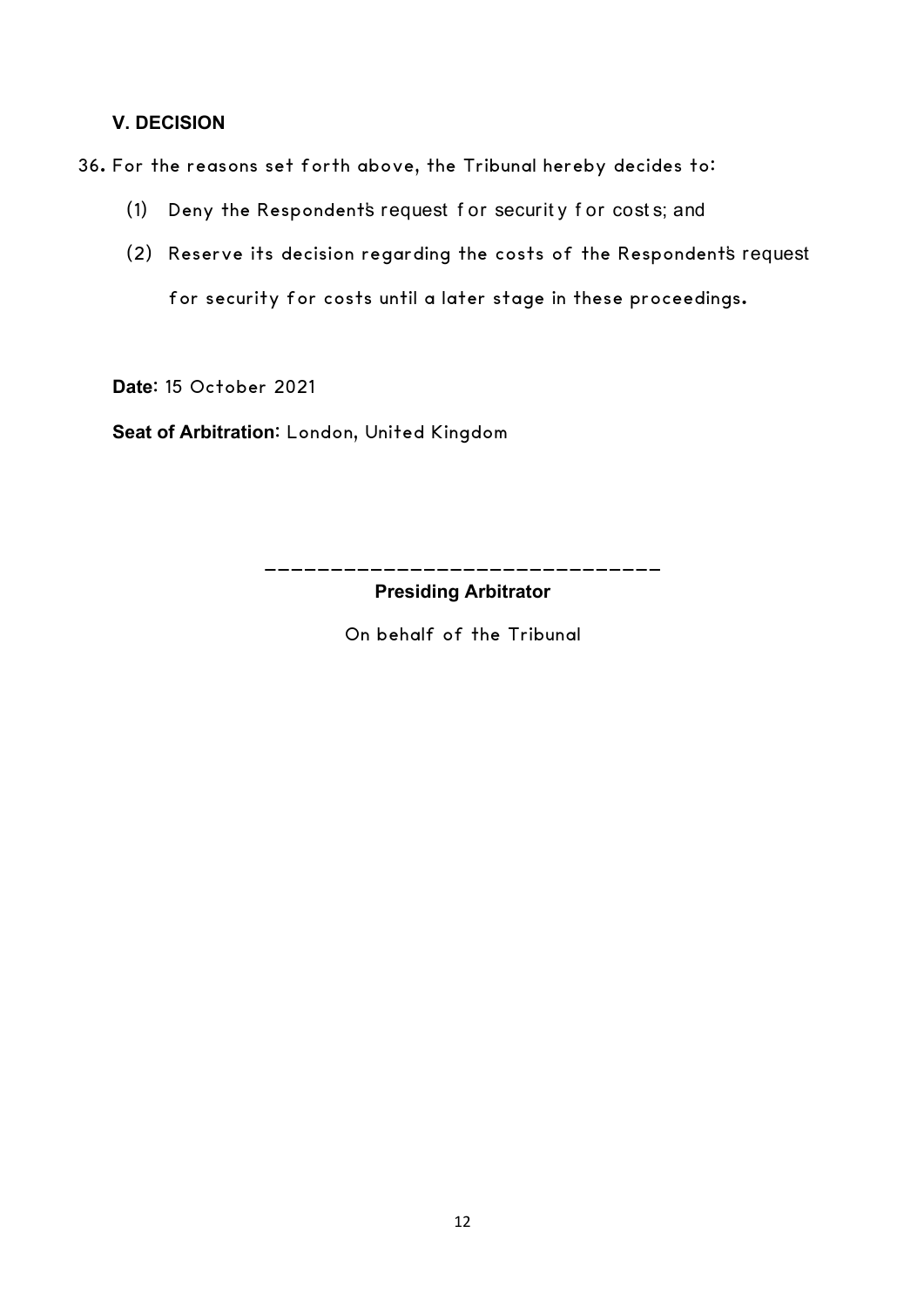## **V. DECISION**

36. For the reasons set forth above, the Tribunal hereby decides to:

- (1) Deny the Respondent's request f or securit y f or cost s; and
- (2) Reserve its decision regarding the costs of the Respondent's request for security for costs until a later stage in these proceedings.

**Date**: 15 October 2021

**Seat of Arbitration**: London, United Kingdom

\_\_\_\_\_\_\_\_\_\_\_\_\_\_\_\_\_\_\_\_\_\_\_\_\_\_\_\_\_\_ **Presiding Arbitrator**

On behalf of the Tribunal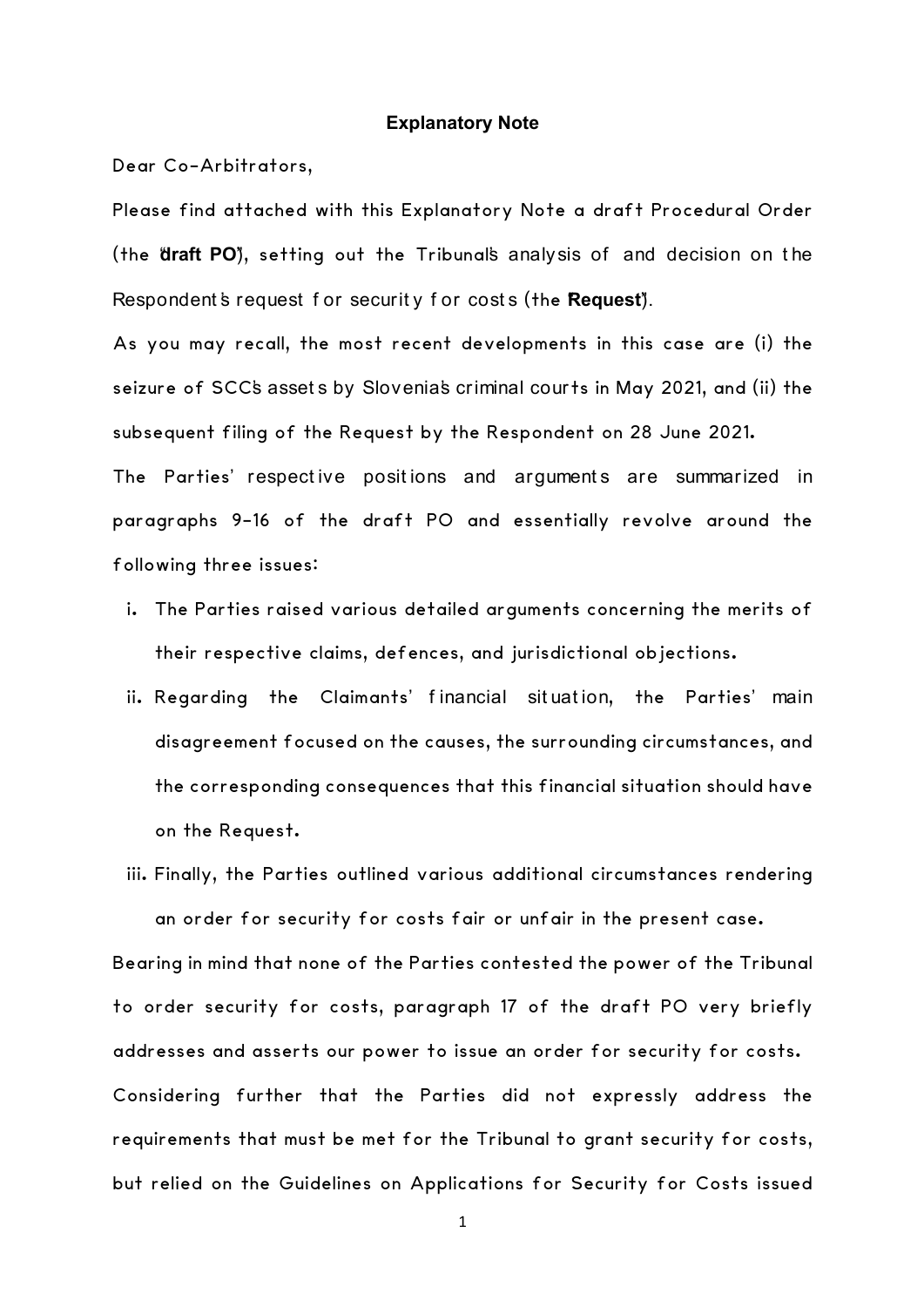#### **Explanatory Note**

Dear Co-Arbitrators,

Please find attached with this Explanatory Note a draft Procedural Order (the "**draft PO**"), setting out the Tribunal's analysis of and decision on t he Respondent's request for security for costs (the **Request**).

As you may recall, the most recent developments in this case are (i) the seizure of SCC's assets by Slovenia's criminal courts in May 2021, and (ii) the subsequent filing of the Request by the Respondent on 28 June 2021.

The Parties' respective positions and arguments are summarized in paragraphs 9-16 of the draft PO and essentially revolve around the following three issues:

- i. The Parties raised various detailed arguments concerning the merits of their respective claims, defences, and jurisdictional objections.
- ii. Regarding the Claimants' f inancial sit uat ion, the Parties' main disagreement focused on the causes, the surrounding circumstances, and the corresponding consequences that this financial situation should have on the Request.
- iii. Finally, the Parties outlined various additional circumstances rendering an order for security for costs fair or unfair in the present case.

Bearing in mind that none of the Parties contested the power of the Tribunal to order security for costs, paragraph 17 of the draft PO very briefly addresses and asserts our power to issue an order for security for costs. Considering further that the Parties did not expressly address the requirements that must be met for the Tribunal to grant security for costs, but relied on the Guidelines on Applications for Security for Costs issued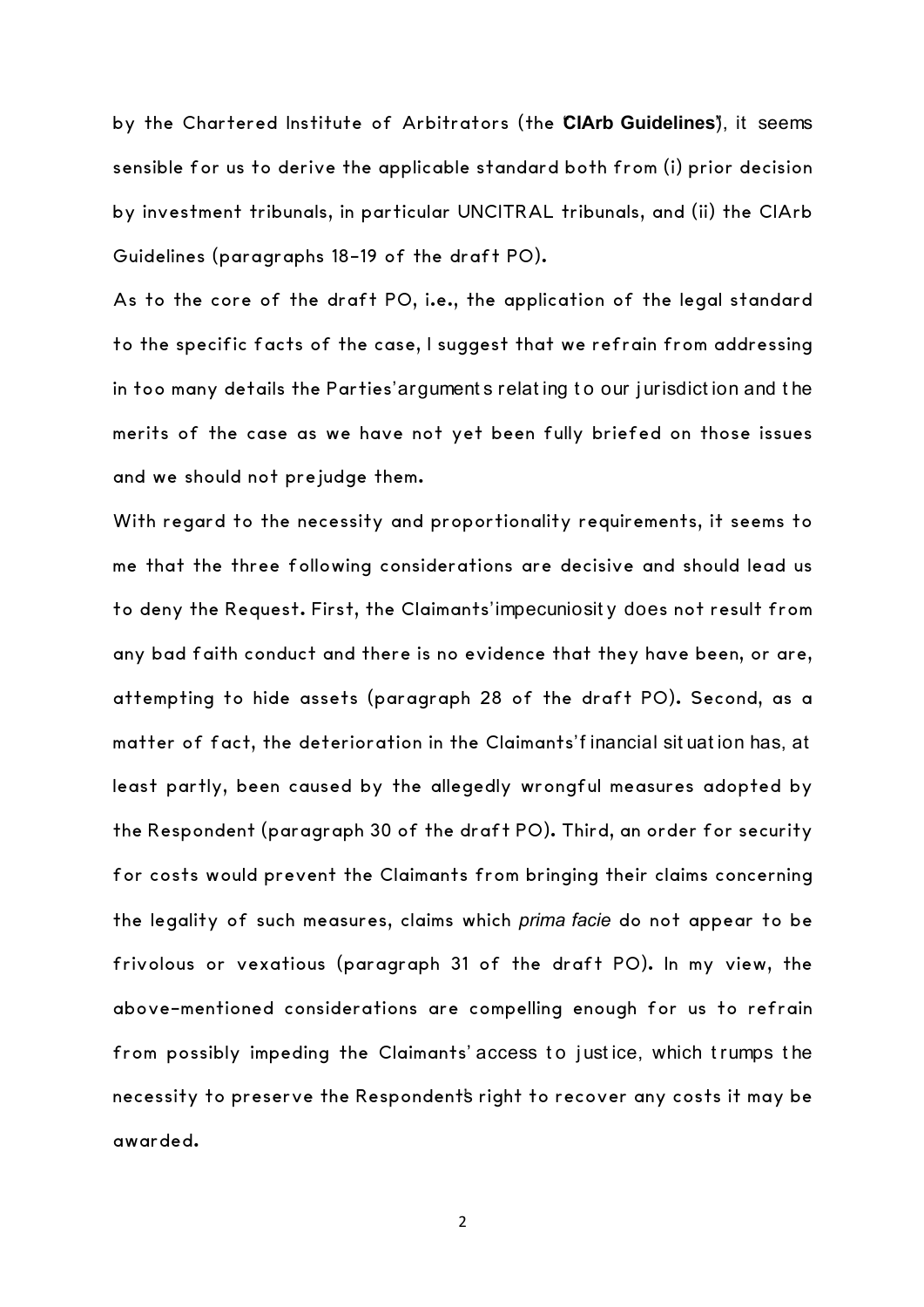by the Chartered Institute of Arbitrators (the "**CIArb Guidelines**"), it seems sensible for us to derive the applicable standard both from (i) prior decision by investment tribunals, in particular UNCITRAL tribunals, and (ii) the CIArb Guidelines (paragraphs 18-19 of the draft PO).

As to the core of the draft PO, i.e., the application of the legal standard to the specific facts of the case, I suggest that we refrain from addressing in too many details the Parties' argument s relat ing t o our j urisdict ion and t he merits of the case as we have not yet been fully briefed on those issues and we should not prejudge them.

With regard to the necessity and proportionality requirements, it seems to me that the three following considerations are decisive and should lead us to deny the Request. First, the Claimants' impecuniosit y does not result from any bad faith conduct and there is no evidence that they have been, or are, attempting to hide assets (paragraph 28 of the draft PO). Second, as a matter of fact, the deterioration in the Claimants'f inancial situation has, at least partly, been caused by the allegedly wrongful measures adopted by the Respondent (paragraph 30 of the draft PO). Third, an order for security for costs would prevent the Claimants from bringing their claims concerning the legality of such measures, claims which *prima facie* do not appear to be frivolous or vexatious (paragraph 31 of the draft PO). In my view, the above-mentioned considerations are compelling enough for us to refrain from possibly impeding the Claimants' access to justice, which trumps the necessity to preserve the Respondent's right to recover any costs it may be awarded.

2